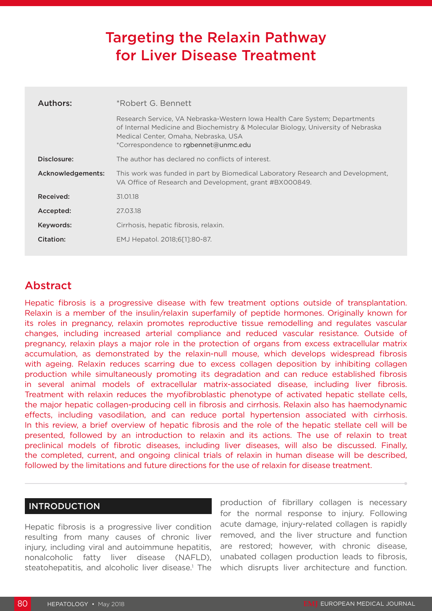# Targeting the Relaxin Pathway for Liver Disease Treatment

| Authors:          | *Robert G. Bennett                                                                                                                                                                                                                              |  |  |  |  |
|-------------------|-------------------------------------------------------------------------------------------------------------------------------------------------------------------------------------------------------------------------------------------------|--|--|--|--|
|                   | Research Service, VA Nebraska-Western Iowa Health Care System; Departments<br>of Internal Medicine and Biochemistry & Molecular Biology, University of Nebraska<br>Medical Center, Omaha, Nebraska, USA<br>*Correspondence to rgbennet@unmc.edu |  |  |  |  |
| Disclosure:       | The author has declared no conflicts of interest.                                                                                                                                                                                               |  |  |  |  |
| Acknowledgements: | This work was funded in part by Biomedical Laboratory Research and Development,<br>VA Office of Research and Development, grant #BX000849.                                                                                                      |  |  |  |  |
| Received:         | 31.01.18                                                                                                                                                                                                                                        |  |  |  |  |
| Accepted:         | 27.03.18                                                                                                                                                                                                                                        |  |  |  |  |
| Keywords:         | Cirrhosis, hepatic fibrosis, relaxin.                                                                                                                                                                                                           |  |  |  |  |
| Citation:         | EMJ Hepatol. 2018;6[1]:80-87.                                                                                                                                                                                                                   |  |  |  |  |
|                   |                                                                                                                                                                                                                                                 |  |  |  |  |

# Abstract

Hepatic fibrosis is a progressive disease with few treatment options outside of transplantation. Relaxin is a member of the insulin/relaxin superfamily of peptide hormones. Originally known for its roles in pregnancy, relaxin promotes reproductive tissue remodelling and regulates vascular changes, including increased arterial compliance and reduced vascular resistance. Outside of pregnancy, relaxin plays a major role in the protection of organs from excess extracellular matrix accumulation, as demonstrated by the relaxin-null mouse, which develops widespread fibrosis with ageing. Relaxin reduces scarring due to excess collagen deposition by inhibiting collagen production while simultaneously promoting its degradation and can reduce established fibrosis in several animal models of extracellular matrix-associated disease, including liver fibrosis. Treatment with relaxin reduces the myofibroblastic phenotype of activated hepatic stellate cells, the major hepatic collagen-producing cell in fibrosis and cirrhosis. Relaxin also has haemodynamic effects, including vasodilation, and can reduce portal hypertension associated with cirrhosis. In this review, a brief overview of hepatic fibrosis and the role of the hepatic stellate cell will be presented, followed by an introduction to relaxin and its actions. The use of relaxin to treat preclinical models of fibrotic diseases, including liver diseases, will also be discussed. Finally, the completed, current, and ongoing clinical trials of relaxin in human disease will be described, followed by the limitations and future directions for the use of relaxin for disease treatment.

## INTRODUCTION

Hepatic fibrosis is a progressive liver condition resulting from many causes of chronic liver injury, including viral and autoimmune hepatitis, nonalcoholic fatty liver disease (NAFLD), steatohepatitis, and alcoholic liver disease.<sup>1</sup> The production of fibrillary collagen is necessary for the normal response to injury. Following acute damage, injury-related collagen is rapidly removed, and the liver structure and function are restored; however, with chronic disease, unabated collagen production leads to fibrosis, which disrupts liver architecture and function.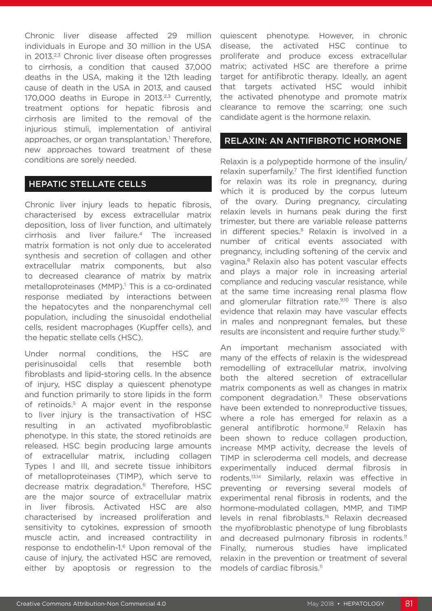Chronic liver disease affected 29 million individuals in Europe and 30 million in the USA in 2013.<sup>2,3</sup> Chronic liver disease often progresses to cirrhosis, a condition that caused 37,000 deaths in the USA, making it the 12th leading cause of death in the USA in 2013, and caused 170,000 deaths in Europe in 2013.<sup>2,3</sup> Currently, treatment options for hepatic fibrosis and cirrhosis are limited to the removal of the injurious stimuli, implementation of antiviral approaches, or organ transplantation.<sup>1</sup> Therefore, new approaches toward treatment of these conditions are sorely needed.

#### HEPATIC STELLATE CELLS

Chronic liver injury leads to hepatic fibrosis, characterised by excess extracellular matrix deposition, loss of liver function, and ultimately cirrhosis and liver failure.4 The increased matrix formation is not only due to accelerated synthesis and secretion of collagen and other extracellular matrix components, but also to decreased clearance of matrix by matrix metalloproteinases (MMP).<sup>1</sup> This is a co-ordinated response mediated by interactions between the hepatocytes and the nonparenchymal cell population, including the sinusoidal endothelial cells, resident macrophages (Kupffer cells), and the hepatic stellate cells (HSC).

Under normal conditions, the HSC are perisinusoidal cells that resemble both fibroblasts and lipid-storing cells. In the absence of injury, HSC display a quiescent phenotype and function primarily to store lipids in the form of retinoids.5 A major event in the response to liver injury is the transactivation of HSC resulting in an activated myofibroblastic phenotype. In this state, the stored retinoids are released. HSC begin producing large amounts of extracellular matrix, including collagen Types I and III, and secrete tissue inhibitors of metalloproteinases (TIMP), which serve to decrease matrix degradation.<sup>6</sup> Therefore, HSC are the major source of extracellular matrix in liver fibrosis. Activated HSC are also characterised by increased proliferation and sensitivity to cytokines, expression of smooth muscle actin, and increased contractility in response to endothelin-1.<sup>6</sup> Upon removal of the cause of injury, the activated HSC are removed, either by apoptosis or regression to the

quiescent phenotype. However, in chronic disease, the activated HSC continue to proliferate and produce excess extracellular matrix; activated HSC are therefore a prime target for antifibrotic therapy. Ideally, an agent that targets activated HSC would inhibit the activated phenotype and promote matrix clearance to remove the scarring; one such candidate agent is the hormone relaxin.

#### RELAXIN: AN ANTIFIBROTIC HORMONE

Relaxin is a polypeptide hormone of the insulin/ relaxin superfamily.<sup>7</sup> The first identified function for relaxin was its role in pregnancy, during which it is produced by the corpus luteum of the ovary. During pregnancy, circulating relaxin levels in humans peak during the first trimester, but there are variable release patterns in different species.<sup>8</sup> Relaxin is involved in a number of critical events associated with pregnancy, including softening of the cervix and vagina.8 Relaxin also has potent vascular effects and plays a major role in increasing arterial compliance and reducing vascular resistance, while at the same time increasing renal plasma flow and glomerular filtration rate.<sup>9,10</sup> There is also evidence that relaxin may have vascular effects in males and nonpregnant females, but these results are inconsistent and require further study.10

An important mechanism associated with many of the effects of relaxin is the widespread remodelling of extracellular matrix, involving both the altered secretion of extracellular matrix components as well as changes in matrix component degradation.11 These observations have been extended to nonreproductive tissues, where a role has emerged for relaxin as a general antifibrotic hormone.12 Relaxin has been shown to reduce collagen production, increase MMP activity, decrease the levels of TIMP in scleroderma cell models, and decrease experimentally induced dermal fibrosis in rodents.13,14 Similarly, relaxin was effective in preventing or reversing several models of experimental renal fibrosis in rodents, and the hormone-modulated collagen, MMP, and TIMP levels in renal fibroblasts.15 Relaxin decreased the myofibroblastic phenotype of lung fibroblasts and decreased pulmonary fibrosis in rodents.<sup>11</sup> Finally, numerous studies have implicated relaxin in the prevention or treatment of several models of cardiac fibrosis.<sup>11</sup>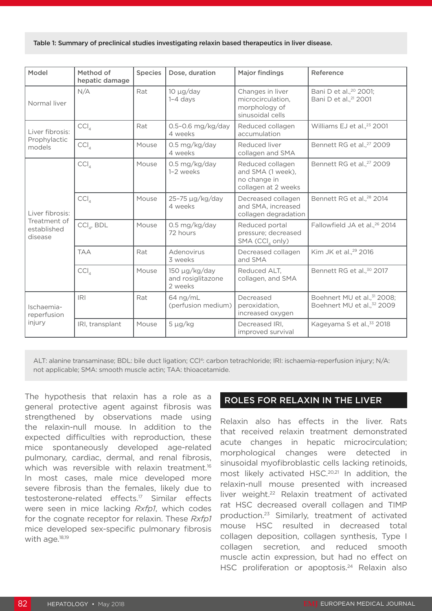#### Table 1: Summary of preclinical studies investigating relaxin based therapeutics in liver disease.

| Model                                                     | Method of<br>hepatic damage | <b>Species</b> | Dose, duration                                     | <b>Major findings</b>                                                        | Reference                                                               |
|-----------------------------------------------------------|-----------------------------|----------------|----------------------------------------------------|------------------------------------------------------------------------------|-------------------------------------------------------------------------|
| Normal liver                                              | N/A                         | Rat            | $10 \mu g/day$<br>$1-4$ days                       | Changes in liver<br>microcirculation,<br>morphology of<br>sinusoidal cells   | Bani D et al., <sup>20</sup> 2001;<br>Bani D et al., <sup>21</sup> 2001 |
| Liver fibrosis:<br>Prophylactic<br>models                 | CCI <sub>4</sub>            | Rat            | 0.5-0.6 mg/kg/day<br>4 weeks                       | Reduced collagen<br>accumulation                                             | Williams EJ et al., <sup>23</sup> 2001                                  |
|                                                           | CCI <sub>4</sub>            | Mouse          | 0.5 mg/kg/day<br>4 weeks                           | Reduced liver<br>collagen and SMA                                            | Bennett RG et al., <sup>27</sup> 2009                                   |
| Liver fibrosis:<br>Treatment of<br>established<br>disease | CCI <sub>4</sub>            | Mouse          | 0.5 mg/kg/day<br>1-2 weeks                         | Reduced collagen<br>and SMA (1 week),<br>no change in<br>collagen at 2 weeks | Bennett RG et al., <sup>27</sup> 2009                                   |
|                                                           | CCI <sub>A</sub>            | Mouse          | 25-75 µg/kg/day<br>4 weeks                         | Decreased collagen<br>and SMA, increased<br>collagen degradation             | Bennett RG et al., <sup>28</sup> 2014                                   |
|                                                           | $\text{CCI}_{4}$ , BDL      | Mouse          | 0.5 mg/kg/day<br>72 hours                          | Reduced portal<br>pressure; decreased<br>SMA (CC $I_{4}$ only)               | Fallowfield JA et al., <sup>26</sup> 2014                               |
|                                                           | <b>TAA</b>                  | Rat            | Adenovirus<br>3 weeks                              | Decreased collagen<br>and SMA                                                | Kim JK et al., <sup>29</sup> 2016                                       |
|                                                           | CCI <sub>A</sub>            | Mouse          | $150 \mu g/kg/day$<br>and rosiglitazone<br>2 weeks | Reduced ALT,<br>collagen, and SMA                                            | Bennett RG et al., <sup>30</sup> 2017                                   |
| Ischaemia-<br>reperfusion<br>injury                       | <b>IRI</b>                  | Rat            | $64$ ng/mL<br>(perfusion medium)                   | Decreased<br>peroxidation,<br>increased oxygen                               | Boehnert MU et al., 31 2008;<br>Boehnert MU et al., <sup>32</sup> 2009  |
|                                                           | IRI, transplant             | Mouse          | $5 \mu g/kg$                                       | Decreased IRI.<br>improved survival                                          | Kageyama S et al., 33 2018                                              |

ALT: alanine transaminase; BDL: bile duct ligation; CCl<sup>4</sup>: carbon tetrachloride; IRI: ischaemia-reperfusion injury; N/A: not applicable; SMA: smooth muscle actin; TAA: thioacetamide.

The hypothesis that relaxin has a role as a general protective agent against fibrosis was strengthened by observations made using the relaxin-null mouse. In addition to the expected difficulties with reproduction, these mice spontaneously developed age-related pulmonary, cardiac, dermal, and renal fibrosis, which was reversible with relaxin treatment.<sup>16</sup> In most cases, male mice developed more severe fibrosis than the females, likely due to testosterone-related effects.17 Similar effects were seen in mice lacking *Rxfp1*, which codes for the cognate receptor for relaxin. These *Rxfp1* mice developed sex-specific pulmonary fibrosis with age.<sup>18,19</sup>

#### ROLES FOR RELAXIN IN THE LIVER

Relaxin also has effects in the liver. Rats that received relaxin treatment demonstrated acute changes in hepatic microcirculation; morphological changes were detected in sinusoidal myofibroblastic cells lacking retinoids, most likely activated HSC.<sup>20,21</sup> In addition, the relaxin-null mouse presented with increased liver weight.<sup>22</sup> Relaxin treatment of activated rat HSC decreased overall collagen and TIMP production.23 Similarly, treatment of activated mouse HSC resulted in decreased total collagen deposition, collagen synthesis, Type I collagen secretion, and reduced smooth muscle actin expression, but had no effect on HSC proliferation or apoptosis.<sup>24</sup> Relaxin also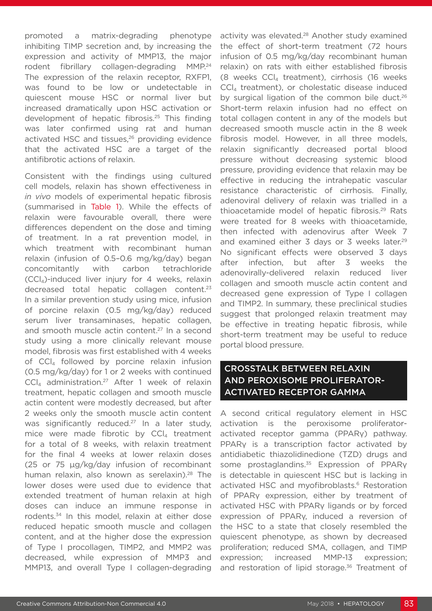promoted a matrix-degrading phenotype inhibiting TIMP secretion and, by increasing the expression and activity of MMP13, the major rodent fibrillary collagen-degrading MMP.24 The expression of the relaxin receptor, RXFP1, was found to be low or undetectable in quiescent mouse HSC or normal liver but increased dramatically upon HSC activation or development of hepatic fibrosis.25 This finding was later confirmed using rat and human activated HSC and tissues,<sup>26</sup> providing evidence that the activated HSC are a target of the antifibrotic actions of relaxin.

Consistent with the findings using cultured cell models, relaxin has shown effectiveness in *in vivo* models of experimental hepatic fibrosis (summarised in Table 1). While the effects of relaxin were favourable overall, there were differences dependent on the dose and timing of treatment. In a rat prevention model, in which treatment with recombinant human relaxin (infusion of 0.5–0.6 mg/kg/day) began concomitantly with carbon tetrachloride  $(CCl<sub>4</sub>)$ -induced liver injury for 4 weeks, relaxin decreased total hepatic collagen content.<sup>23</sup> In a similar prevention study using mice, infusion of porcine relaxin (0.5 mg/kg/day) reduced serum liver transaminases, hepatic collagen, and smooth muscle actin content.<sup>27</sup> In a second study using a more clinically relevant mouse model, fibrosis was first established with 4 weeks of CCl<sub>4</sub> followed by porcine relaxin infusion (0.5 mg/kg/day) for 1 or 2 weeks with continued  $CCI<sub>4</sub>$  administration.<sup>27</sup> After 1 week of relaxin treatment, hepatic collagen and smooth muscle actin content were modestly decreased, but after 2 weeks only the smooth muscle actin content was significantly reduced.<sup>27</sup> In a later study, mice were made fibrotic by  $CCL$  treatment for a total of 8 weeks, with relaxin treatment for the final 4 weeks at lower relaxin doses (25 or 75 µg/kg/day infusion of recombinant human relaxin, also known as serelaxin).<sup>28</sup> The lower doses were used due to evidence that extended treatment of human relaxin at high doses can induce an immune response in rodents.34 In this model, relaxin at either dose reduced hepatic smooth muscle and collagen content, and at the higher dose the expression of Type I procollagen, TIMP2, and MMP2 was decreased, while expression of MMP3 and MMP13, and overall Type I collagen-degrading

activity was elevated.<sup>28</sup> Another study examined the effect of short-term treatment (72 hours infusion of 0.5 mg/kg/day recombinant human relaxin) on rats with either established fibrosis (8 weeks  $CCl<sub>4</sub>$  treatment), cirrhosis (16 weeks CCl4 treatment), or cholestatic disease induced by surgical ligation of the common bile duct.<sup>26</sup> Short-term relaxin infusion had no effect on total collagen content in any of the models but decreased smooth muscle actin in the 8 week fibrosis model. However, in all three models, relaxin significantly decreased portal blood pressure without decreasing systemic blood pressure, providing evidence that relaxin may be effective in reducing the intrahepatic vascular resistance characteristic of cirrhosis. Finally, adenoviral delivery of relaxin was trialled in a thioacetamide model of hepatic fibrosis.<sup>29</sup> Rats were treated for 8 weeks with thioacetamide, then infected with adenovirus after Week 7 and examined either 3 days or 3 weeks later.<sup>29</sup> No significant effects were observed 3 days after infection, but after 3 weeks the adenovirally-delivered relaxin reduced liver collagen and smooth muscle actin content and decreased gene expression of Type I collagen and TIMP2. In summary, these preclinical studies suggest that prolonged relaxin treatment may be effective in treating hepatic fibrosis, while short-term treatment may be useful to reduce portal blood pressure.

# CROSSTALK BETWEEN RELAXIN AND PEROXISOME PROLIFERATOR-ACTIVATED RECEPTOR GAMMA

A second critical regulatory element in HSC activation is the peroxisome proliferatoractivated receptor gamma (PPARγ) pathway. PPAR<sub>V</sub> is a transcription factor activated by antidiabetic thiazolidinedione (TZD) drugs and some prostaglandins.<sup>35</sup> Expression of PPARγ is detectable in quiescent HSC but is lacking in activated HSC and myofibroblasts.<sup>6</sup> Restoration of PPARγ expression, either by treatment of activated HSC with PPARγ ligands or by forced expression of PPARγ, induced a reversion of the HSC to a state that closely resembled the quiescent phenotype, as shown by decreased proliferation; reduced SMA, collagen, and TIMP expression; increased MMP-13 expression; and restoration of lipid storage.<sup>36</sup> Treatment of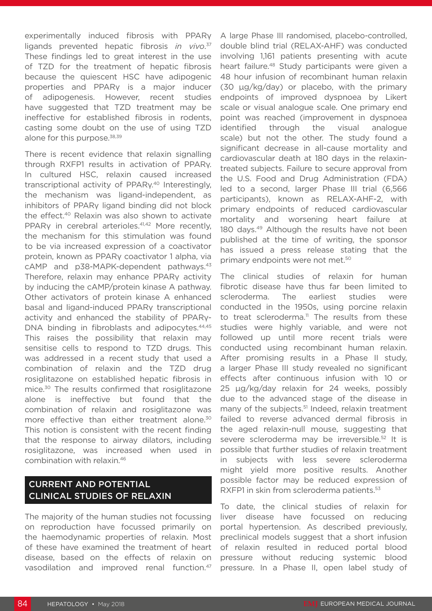experimentally induced fibrosis with PPARγ ligands prevented hepatic fibrosis *in vivo*. 37 These findings led to great interest in the use of TZD for the treatment of hepatic fibrosis because the quiescent HSC have adipogenic properties and PPARγ is a major inducer of adipogenesis. However, recent studies have suggested that TZD treatment may be ineffective for established fibrosis in rodents, casting some doubt on the use of using TZD alone for this purpose.<sup>38,39</sup>

There is recent evidence that relaxin signalling through RXFP1 results in activation of PPARγ. In cultured HSC, relaxin caused increased transcriptional activity of PPARy.<sup>40</sup> Interestingly, the mechanism was ligand-independent, as inhibitors of PPARγ ligand binding did not block the effect.40 Relaxin was also shown to activate PPARy in cerebral arterioles.<sup>41,42</sup> More recently, the mechanism for this stimulation was found to be via increased expression of a coactivator protein, known as PPARγ coactivator 1 alpha, via cAMP and p38-MAPK-dependent pathways.<sup>43</sup> Therefore, relaxin may enhance PPARy activity by inducing the cAMP/protein kinase A pathway. Other activators of protein kinase A enhanced basal and ligand-induced PPARγ transcriptional activity and enhanced the stability of PPARγ-DNA binding in fibroblasts and adipocytes.<sup>44,45</sup> This raises the possibility that relaxin may sensitise cells to respond to TZD drugs. This was addressed in a recent study that used a combination of relaxin and the TZD drug rosiglitazone on established hepatic fibrosis in mice.<sup>30</sup> The results confirmed that rosiglitazone alone is ineffective but found that the combination of relaxin and rosiglitazone was more effective than either treatment alone.<sup>30</sup> This notion is consistent with the recent finding that the response to airway dilators, including rosiglitazone, was increased when used in combination with relaxin.46

# CURRENT AND POTENTIAL CLINICAL STUDIES OF RELAXIN

The majority of the human studies not focussing on reproduction have focussed primarily on the haemodynamic properties of relaxin. Most of these have examined the treatment of heart disease, based on the effects of relaxin on vasodilation and improved renal function.<sup>47</sup>

A large Phase III randomised, placebo-controlled, double blind trial (RELAX-AHF) was conducted involving 1,161 patients presenting with acute heart failure.<sup>48</sup> Study participants were given a 48 hour infusion of recombinant human relaxin (30 µg/kg/day) or placebo, with the primary endpoints of improved dyspnoea by Likert scale or visual analogue scale. One primary end point was reached (improvement in dyspnoea identified through the visual analogue scale) but not the other. The study found a significant decrease in all-cause mortality and cardiovascular death at 180 days in the relaxintreated subjects. Failure to secure approval from the U.S. Food and Drug Administration (FDA) led to a second, larger Phase III trial (6,566 participants), known as RELAX-AHF-2, with primary endpoints of reduced cardiovascular mortality and worsening heart failure at 180 days.<sup>49</sup> Although the results have not been published at the time of writing, the sponsor has issued a press release stating that the primary endpoints were not met.<sup>50</sup>

The clinical studies of relaxin for human fibrotic disease have thus far been limited to scleroderma. The earliest studies were conducted in the 1950s, using porcine relaxin to treat scleroderma. $11$  The results from these studies were highly variable, and were not followed up until more recent trials were conducted using recombinant human relaxin. After promising results in a Phase II study, a larger Phase III study revealed no significant effects after continuous infusion with 10 or 25 μg/kg/day relaxin for 24 weeks, possibly due to the advanced stage of the disease in many of the subjects.<sup>51</sup> Indeed, relaxin treatment failed to reverse advanced dermal fibrosis in the aged relaxin-null mouse, suggesting that severe scleroderma may be irreversible.<sup>52</sup> It is possible that further studies of relaxin treatment in subjects with less severe scleroderma might yield more positive results. Another possible factor may be reduced expression of RXFP1 in skin from scleroderma patients.<sup>53</sup>

To date, the clinical studies of relaxin for liver disease have focussed on reducing portal hypertension. As described previously, preclinical models suggest that a short infusion of relaxin resulted in reduced portal blood pressure without reducing systemic blood pressure. In a Phase II, open label study of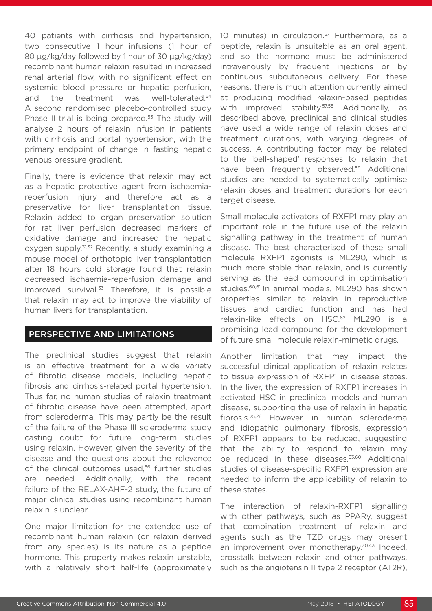40 patients with cirrhosis and hypertension, two consecutive 1 hour infusions (1 hour of 80  $\mu$ g/kg/day followed by 1 hour of 30  $\mu$ g/kg/day) recombinant human relaxin resulted in increased renal arterial flow, with no significant effect on systemic blood pressure or hepatic perfusion, and the treatment was well-tolerated.<sup>54</sup> A second randomised placebo-controlled study Phase II trial is being prepared.<sup>55</sup> The study will analyse 2 hours of relaxin infusion in patients with cirrhosis and portal hypertension, with the primary endpoint of change in fasting hepatic venous pressure gradient.

Finally, there is evidence that relaxin may act as a hepatic protective agent from ischaemiareperfusion injury and therefore act as a preservative for liver transplantation tissue. Relaxin added to organ preservation solution for rat liver perfusion decreased markers of oxidative damage and increased the hepatic oxygen supply.<sup>31,32</sup> Recently, a study examining a mouse model of orthotopic liver transplantation after 18 hours cold storage found that relaxin decreased ischaemia-reperfusion damage and improved survival.<sup>33</sup> Therefore, it is possible that relaxin may act to improve the viability of human livers for transplantation.

### PERSPECTIVE AND LIMITATIONS

The preclinical studies suggest that relaxin is an effective treatment for a wide variety of fibrotic disease models, including hepatic fibrosis and cirrhosis-related portal hypertension. Thus far, no human studies of relaxin treatment of fibrotic disease have been attempted, apart from scleroderma. This may partly be the result of the failure of the Phase III scleroderma study casting doubt for future long-term studies using relaxin. However, given the severity of the disease and the questions about the relevance of the clinical outcomes used,<sup>56</sup> further studies are needed. Additionally, with the recent failure of the RELAX-AHF-2 study, the future of major clinical studies using recombinant human relaxin is unclear.

One major limitation for the extended use of recombinant human relaxin (or relaxin derived from any species) is its nature as a peptide hormone. This property makes relaxin unstable, with a relatively short half-life (approximately

10 minutes) in circulation.<sup>57</sup> Furthermore, as a peptide, relaxin is unsuitable as an oral agent, and so the hormone must be administered intravenously by frequent injections or by continuous subcutaneous delivery. For these reasons, there is much attention currently aimed at producing modified relaxin-based peptides with improved stability.<sup>57,58</sup> Additionally, as described above, preclinical and clinical studies have used a wide range of relaxin doses and treatment durations, with varying degrees of success. A contributing factor may be related to the 'bell-shaped' responses to relaxin that have been frequently observed.<sup>59</sup> Additional studies are needed to systematically optimise relaxin doses and treatment durations for each target disease.

Small molecule activators of RXFP1 may play an important role in the future use of the relaxin signalling pathway in the treatment of human disease. The best characterised of these small molecule RXFP1 agonists is ML290, which is much more stable than relaxin, and is currently serving as the lead compound in optimisation studies.<sup>60,61</sup> In animal models, ML290 has shown properties similar to relaxin in reproductive tissues and cardiac function and has had relaxin-like effects on HSC.<sup>62</sup> ML290 is a promising lead compound for the development of future small molecule relaxin-mimetic drugs.

Another limitation that may impact the successful clinical application of relaxin relates to tissue expression of RXFP1 in disease states. In the liver, the expression of RXFP1 increases in activated HSC in preclinical models and human disease, supporting the use of relaxin in hepatic fibrosis.25,26 However, in human scleroderma and idiopathic pulmonary fibrosis, expression of RXFP1 appears to be reduced, suggesting that the ability to respond to relaxin may be reduced in these diseases.<sup>53,60</sup> Additional studies of disease-specific RXFP1 expression are needed to inform the applicability of relaxin to these states.

The interaction of relaxin-RXFP1 signalling with other pathways, such as PPARy, suggest that combination treatment of relaxin and agents such as the TZD drugs may present an improvement over monotherapy.<sup>30,43</sup> Indeed, crosstalk between relaxin and other pathways, such as the angiotensin II type 2 receptor (AT2R),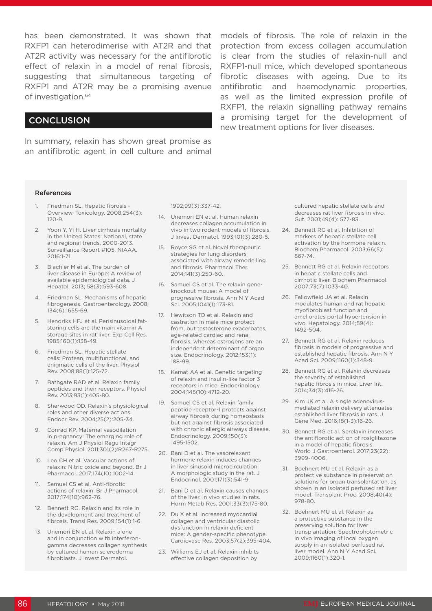effect of relaxin in a model of renal fibrosis, RXFP1 and AT2R may be a promising avenue of investigation.64

#### **CONCLUSION**

In summary, relaxin has shown great promise as an antifibrotic agent in cell culture and animal

has been demonstrated. It was shown that models of fibrosis. The role of relaxin in the RXFP1 can heterodimerise with AT2R and that protection from excess collagen accumulation AT2R activity was necessary for the antifibrotic is clear from the studies of relaxin-null and suggesting that simultaneous targeting of fibrotic diseases with ageing. Due to its RXFP1-null mice, which developed spontaneous antifibrotic and haemodynamic properties, as well as the limited expression profile of RXFP1, the relaxin signalling pathway remains a promising target for the development of new treatment options for liver diseases.

#### References

- 1. Friedman SL. Hepatic fibrosis Overview. Toxicology. 2008;254(3): 120-9.
- 2. Yoon Y, Yi H. Liver cirrhosis mortality in the United States: National, state and regional trends, 2000-2013. Surveillance Report #105, NIAAA. 2016:1-71.
- 3. Blachier M et al. The burden of liver disease in Europe: A review of available epidemiological data. J Hepatol. 2013; 58(3):593-608.
- 4. Friedman SL. Mechanisms of hepatic fibrogenesis. Gastroenterology. 2008; 134(6):1655-69.
- 5. Hendriks HFJ et al. Perisinusoidal fatstoring cells are the main vitamin A storage sites in rat liver. Exp Cell Res. 1985;160(1):138-49.
- 6. Friedman SL. Hepatic stellate cells: Protean, multifunctional, and enigmatic cells of the liver. Physiol Rev. 2008;88(1):125-72.
- 7. Bathgate RAD et al. Relaxin family peptides and their receptors. Physiol Rev. 2013;93(1):405-80.
- 8. Sherwood OD. Relaxin's physiological roles and other diverse actions. Endocr Rev. 2004;25(2):205-34.
- 9. Conrad KP. Maternal vasodilation in pregnancy: The emerging role of relaxin. Am J Physiol Regu Integr Comp Physiol. 2011;301(2):R267-R275.
- 10. Leo CH et al. Vascular actions of relaxin: Nitric oxide and beyond. Br J Pharmacol. 2017;174(10):1002-14.
- 11. Samuel CS et al. Anti-fibrotic actions of relaxin. Br J Pharmacol. 2017;174(10):962-76.
- 12. Bennett RG. Relaxin and its role in the development and treatment of fibrosis. Transl Res. 2009;154(1):1-6.
- 13. Unemori EN et al. Relaxin alone and in conjunction with interferongamma decreases collagen synthesis by cultured human scleroderma fibroblasts. J Invest Dermatol.

1992;99(3):337-42.

- 14. Unemori EN et al. Human relaxin decreases collagen accumulation in vivo in two rodent models of fibrosis. J Invest Dermatol. 1993;101(3):280-5.
- 15. Royce SG et al. Novel therapeutic strategies for lung disorders associated with airway remodelling and fibrosis. Pharmacol Ther. 2014;141(3):250-60.
- 16. Samuel CS et al. The relaxin geneknockout mouse: A model of progressive fibrosis. Ann N Y Acad Sci. 2005;1041(1):173-81.
- 17. Hewitson TD et al. Relaxin and castration in male mice protect from, but testosterone exacerbates. age-related cardiac and renal fibrosis, whereas estrogens are an independent determinant of organ size. Endocrinology. 2012;153(1): 188-99.
- 18. Kamat AA et al. Genetic targeting of relaxin and insulin-like factor 3 receptors in mice. Endocrinology. 2004;145(10):4712-20.
- 19. Samuel CS et al. Relaxin family peptide receptor-1 protects against airway fibrosis during homeostasis but not against fibrosis associated with chronic allergic airways disease. Endocrinology. 2009;150(3): 1495-1502.
- 20. Bani D et al. The vasorelaxant hormone relaxin induces changes in liver sinusoid microcirculation: A morphologic study in the rat. J Endocrinol. 2001;171(3):541-9.
- 21. Bani D et al. Relaxin causes changes of the liver. In vivo studies in rats. Horm Metab Res. 2001;33(3):175-80.
- 22. Du X et al. Increased myocardial collagen and ventricular diastolic dysfunction in relaxin deficient mice: A gender-specific phenotype. Cardiovasc Res. 2003;57(2):395-404.
- 23. Williams EJ et al. Relaxin inhibits effective collagen deposition by

cultured hepatic stellate cells and decreases rat liver fibrosis in vivo. Gut. 2001;49(4): 577-83.

- 24. Bennett RG et al. Inhibition of markers of hepatic stellate cell activation by the hormone relaxin. Biochem Pharmacol. 2003;66(5): 867-74.
- 25. Bennett RG et al. Relaxin receptors in hepatic stellate cells and cirrhotic liver. Biochem Pharmacol. 2007;73(7):1033-40.
- 26. Fallowfield JA et al. Relaxin modulates human and rat hepatic myofibroblast function and ameliorates portal hypertension in vivo. Hepatology. 2014;59(4): 1492-504.
- 27. Bennett RG et al. Relaxin reduces fibrosis in models of progressive and established hepatic fibrosis. Ann N Y Acad Sci. 2009;1160(1):348-9.
- 28. Bennett RG et al. Relaxin decreases the severity of established hepatic fibrosis in mice. Liver Int. 2014;34(3):416-26.
- 29. Kim JK et al. A single adenovirusmediated relaxin delivery attenuates established liver fibrosis in rats. I Gene Med. 2016;18(1-3):16-26.
- 30. Bennett RG et al. Serelaxin increases the antifibrotic action of rosiglitazone in a model of hepatic fibrosis. World J Gastroenterol. 2017;23(22): 3999-4006.
- 31. Boehnert MU et al. Relaxin as a protective substance in preservation solutions for organ transplantation, as shown in an isolated perfused rat liver model. Transplant Proc. 2008;40(4): 978-80.
- 32. Boehnert MU et al. Relaxin as a protective substance in the preserving solution for liver transplantation: Spectrophotometric in vivo imaging of local oxygen supply in an isolated perfused rat liver model. Ann N Y Acad Sci. 2009;1160(1):320-1.